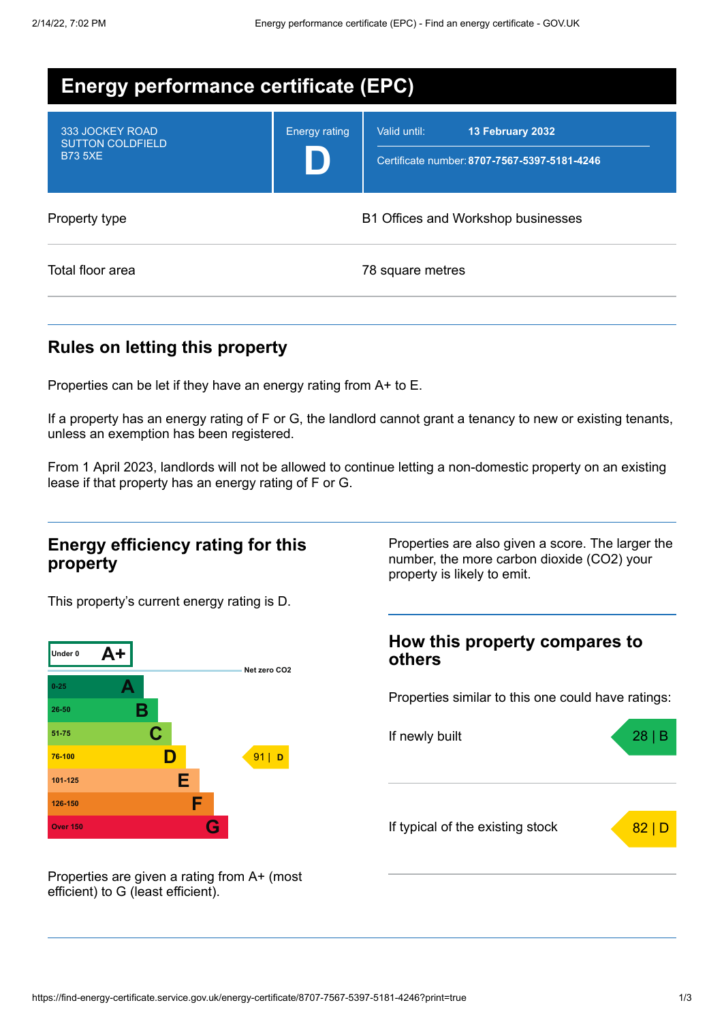| <b>Energy performance certificate (EPC)</b>                  |                                    |                                                                                  |
|--------------------------------------------------------------|------------------------------------|----------------------------------------------------------------------------------|
| 333 JOCKEY ROAD<br><b>SUTTON COLDFIELD</b><br><b>B73 5XE</b> | <b>Energy rating</b>               | Valid until:<br>13 February 2032<br>Certificate number: 8707-7567-5397-5181-4246 |
| Property type                                                | B1 Offices and Workshop businesses |                                                                                  |
| Total floor area                                             |                                    | 78 square metres                                                                 |

### **Rules on letting this property**

Properties can be let if they have an energy rating from A+ to E.

If a property has an energy rating of F or G, the landlord cannot grant a tenancy to new or existing tenants, unless an exemption has been registered.

From 1 April 2023, landlords will not be allowed to continue letting a non-domestic property on an existing lease if that property has an energy rating of F or G.

### **Energy efficiency rating for this property**

This property's current energy rating is D.



Properties are given a rating from A+ (most efficient) to G (least efficient).

Properties are also given a score. The larger the number, the more carbon dioxide (CO2) your property is likely to emit.

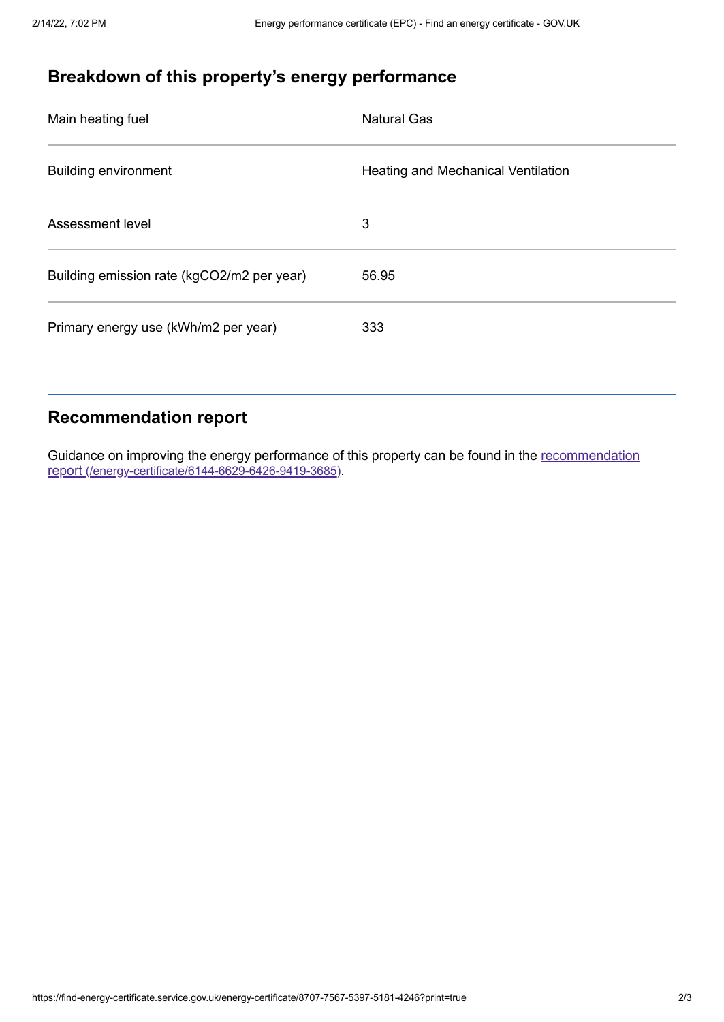# **Breakdown of this property's energy performance**

| Main heating fuel                          | <b>Natural Gas</b>                        |
|--------------------------------------------|-------------------------------------------|
| <b>Building environment</b>                | <b>Heating and Mechanical Ventilation</b> |
| Assessment level                           | 3                                         |
| Building emission rate (kgCO2/m2 per year) | 56.95                                     |
| Primary energy use (kWh/m2 per year)       | 333                                       |

## **Recommendation report**

Guidance on improving the energy performance of this property can be found in the recommendation report [\(/energy-certificate/6144-6629-6426-9419-3685\)](https://find-energy-certificate.service.gov.uk/energy-certificate/6144-6629-6426-9419-3685).